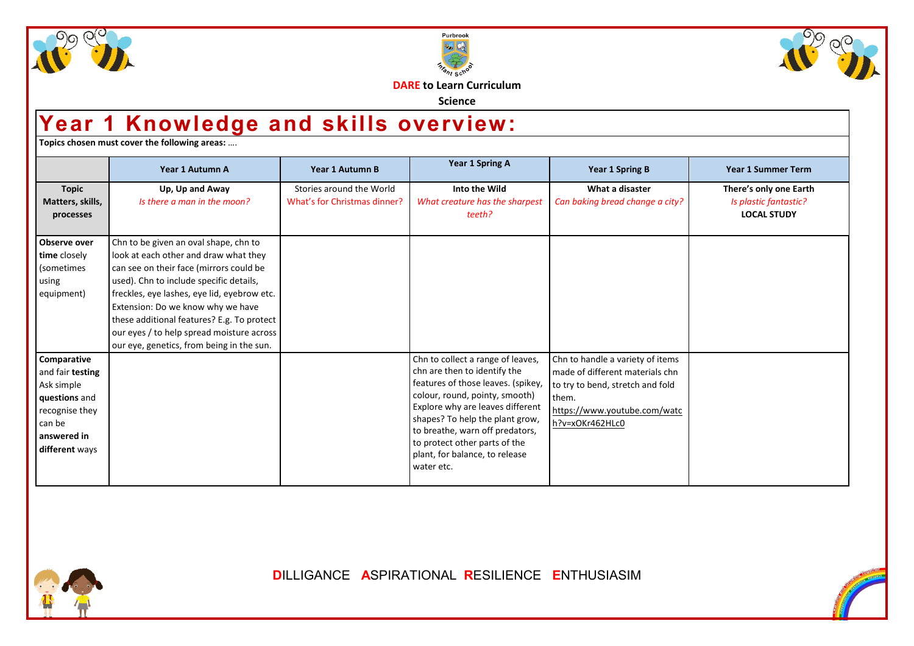





**DARE to Learn Curriculum**

**Science**

## **Year 1 Knowledge and skills overview:**

**Topics chosen must cover the following areas:** ….

|                                                                                                                             | Year 1 Autumn A                                                                                                                                                                                                                                                                                                                                                                                  | Year 1 Autumn B                                          | Year 1 Spring A                                                                                                                                                                                                                                                                                                                      | <b>Year 1 Spring B</b>                                                                                                                                              | <b>Year 1 Summer Term</b>                                             |
|-----------------------------------------------------------------------------------------------------------------------------|--------------------------------------------------------------------------------------------------------------------------------------------------------------------------------------------------------------------------------------------------------------------------------------------------------------------------------------------------------------------------------------------------|----------------------------------------------------------|--------------------------------------------------------------------------------------------------------------------------------------------------------------------------------------------------------------------------------------------------------------------------------------------------------------------------------------|---------------------------------------------------------------------------------------------------------------------------------------------------------------------|-----------------------------------------------------------------------|
| <b>Topic</b><br>Matters, skills,<br>processes                                                                               | Up, Up and Away<br>Is there a man in the moon?                                                                                                                                                                                                                                                                                                                                                   | Stories around the World<br>What's for Christmas dinner? | Into the Wild<br>What creature has the sharpest<br>teeth?                                                                                                                                                                                                                                                                            | What a disaster<br>Can baking bread change a city?                                                                                                                  | There's only one Earth<br>Is plastic fantastic?<br><b>LOCAL STUDY</b> |
| Observe over<br>time closely<br>(sometimes<br>using<br>equipment)                                                           | Chn to be given an oval shape, chn to<br>look at each other and draw what they<br>can see on their face (mirrors could be<br>used). Chn to include specific details,<br>freckles, eye lashes, eye lid, eyebrow etc.<br>Extension: Do we know why we have<br>these additional features? E.g. To protect<br>our eyes / to help spread moisture across<br>our eye, genetics, from being in the sun. |                                                          |                                                                                                                                                                                                                                                                                                                                      |                                                                                                                                                                     |                                                                       |
| Comparative<br>and fair testing<br>Ask simple<br>questions and<br>recognise they<br>can be<br>answered in<br>different ways |                                                                                                                                                                                                                                                                                                                                                                                                  |                                                          | Chn to collect a range of leaves,<br>chn are then to identify the<br>features of those leaves. (spikey,<br>colour, round, pointy, smooth)<br>Explore why are leaves different<br>shapes? To help the plant grow,<br>to breathe, warn off predators,<br>to protect other parts of the<br>plant, for balance, to release<br>water etc. | Chn to handle a variety of items<br>made of different materials chn<br>to try to bend, stretch and fold<br>them.<br>https://www.youtube.com/watc<br>h?v=xOKr462HLc0 |                                                                       |



**D**ILLIGANCE **A**SPIRATIONAL **R**ESILIENCE **E**NTHUSIASIM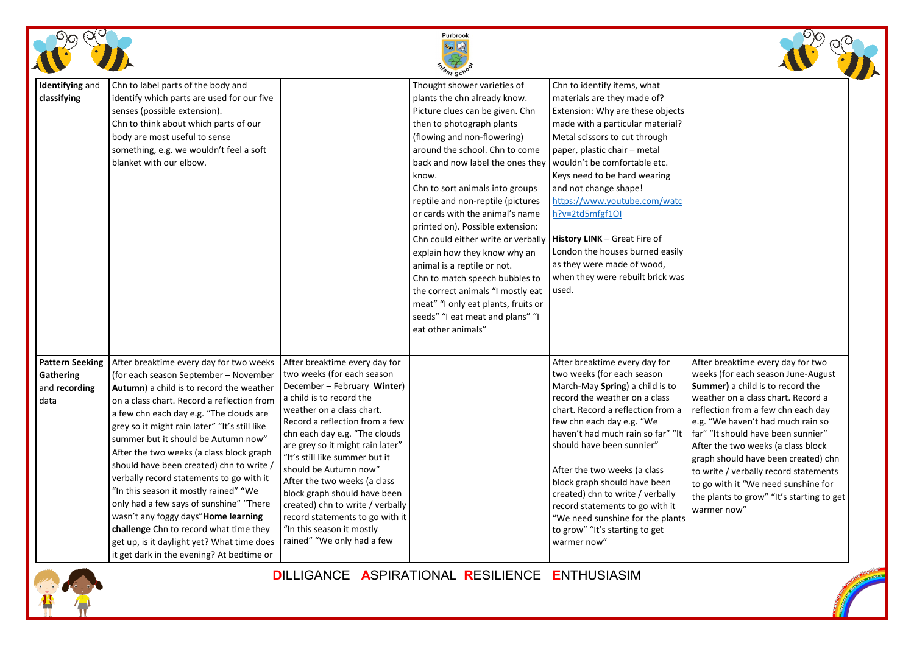|                                                              |                                                                                                                                                                                                                                                                                                                                                                                                                                                                                                                                                                                                                                                                                                                  |                                                                                                                                                                                                                                                                                                                                                                                                                                                                                                                         | Purbrook<br><i>hrant</i> Schot                                                                                                                                                                                                                                                                                                                                                                                                                                                                                                                                                                                                                                        |                                                                                                                                                                                                                                                                                                                                                                                                                                                                                                 |                                                                                                                                                                                                                                                                                                                                                                                                                                                                                                    |
|--------------------------------------------------------------|------------------------------------------------------------------------------------------------------------------------------------------------------------------------------------------------------------------------------------------------------------------------------------------------------------------------------------------------------------------------------------------------------------------------------------------------------------------------------------------------------------------------------------------------------------------------------------------------------------------------------------------------------------------------------------------------------------------|-------------------------------------------------------------------------------------------------------------------------------------------------------------------------------------------------------------------------------------------------------------------------------------------------------------------------------------------------------------------------------------------------------------------------------------------------------------------------------------------------------------------------|-----------------------------------------------------------------------------------------------------------------------------------------------------------------------------------------------------------------------------------------------------------------------------------------------------------------------------------------------------------------------------------------------------------------------------------------------------------------------------------------------------------------------------------------------------------------------------------------------------------------------------------------------------------------------|-------------------------------------------------------------------------------------------------------------------------------------------------------------------------------------------------------------------------------------------------------------------------------------------------------------------------------------------------------------------------------------------------------------------------------------------------------------------------------------------------|----------------------------------------------------------------------------------------------------------------------------------------------------------------------------------------------------------------------------------------------------------------------------------------------------------------------------------------------------------------------------------------------------------------------------------------------------------------------------------------------------|
| <b>Identifying and</b><br>classifying                        | Chn to label parts of the body and<br>identify which parts are used for our five<br>senses (possible extension).<br>Chn to think about which parts of our<br>body are most useful to sense<br>something, e.g. we wouldn't feel a soft<br>blanket with our elbow.                                                                                                                                                                                                                                                                                                                                                                                                                                                 |                                                                                                                                                                                                                                                                                                                                                                                                                                                                                                                         | Thought shower varieties of<br>plants the chn already know.<br>Picture clues can be given. Chn<br>then to photograph plants<br>(flowing and non-flowering)<br>around the school. Chn to come<br>back and now label the ones they<br>know.<br>Chn to sort animals into groups<br>reptile and non-reptile (pictures<br>or cards with the animal's name<br>printed on). Possible extension:<br>Chn could either write or verbally<br>explain how they know why an<br>animal is a reptile or not.<br>Chn to match speech bubbles to<br>the correct animals "I mostly eat<br>meat" "I only eat plants, fruits or<br>seeds" "I eat meat and plans" "I<br>eat other animals" | Chn to identify items, what<br>materials are they made of?<br>Extension: Why are these objects<br>made with a particular material?<br>Metal scissors to cut through<br>paper, plastic chair – metal<br>wouldn't be comfortable etc.<br>Keys need to be hard wearing<br>and not change shape!<br>https://www.youtube.com/watc<br>h?v=2td5mfgf10l<br>History LINK - Great Fire of<br>London the houses burned easily<br>as they were made of wood,<br>when they were rebuilt brick was<br>used.   |                                                                                                                                                                                                                                                                                                                                                                                                                                                                                                    |
| <b>Pattern Seeking</b><br>Gathering<br>and recording<br>data | After breaktime every day for two weeks<br>(for each season September - November<br>Autumn) a child is to record the weather<br>on a class chart. Record a reflection from<br>a few chn each day e.g. "The clouds are<br>grey so it might rain later" "It's still like<br>summer but it should be Autumn now"<br>After the two weeks (a class block graph<br>should have been created) chn to write,<br>verbally record statements to go with it<br>"In this season it mostly rained" "We<br>only had a few says of sunshine" "There<br>wasn't any foggy days"Home learning<br>challenge Chn to record what time they<br>get up, is it daylight yet? What time does<br>it get dark in the evening? At bedtime or | After breaktime every day for<br>two weeks (for each season<br>December - February Winter)<br>a child is to record the<br>weather on a class chart.<br>Record a reflection from a few<br>chn each day e.g. "The clouds<br>are grey so it might rain later"<br>"It's still like summer but it<br>should be Autumn now"<br>After the two weeks (a class<br>block graph should have been<br>created) chn to write / verbally<br>record statements to go with it<br>"In this season it mostly<br>rained" "We only had a few |                                                                                                                                                                                                                                                                                                                                                                                                                                                                                                                                                                                                                                                                       | After breaktime every day for<br>two weeks (for each season<br>March-May Spring) a child is to<br>record the weather on a class<br>chart. Record a reflection from a<br>few chn each day e.g. "We<br>haven't had much rain so far" "It<br>should have been sunnier"<br>After the two weeks (a class<br>block graph should have been<br>created) chn to write / verbally<br>record statements to go with it<br>"We need sunshine for the plants<br>to grow" "It's starting to get<br>warmer now" | After breaktime every day for two<br>weeks (for each season June-August<br><b>Summer)</b> a child is to record the<br>weather on a class chart. Record a<br>reflection from a few chn each day<br>e.g. "We haven't had much rain so<br>far" "It should have been sunnier"<br>After the two weeks (a class block<br>graph should have been created) chn<br>to write / verbally record statements<br>to go with it "We need sunshine for<br>the plants to grow" "It's starting to get<br>warmer now" |

**D**ILLIGANCE **A**SPIRATIONAL **R**ESILIENCE **E**NTHUSIASIM